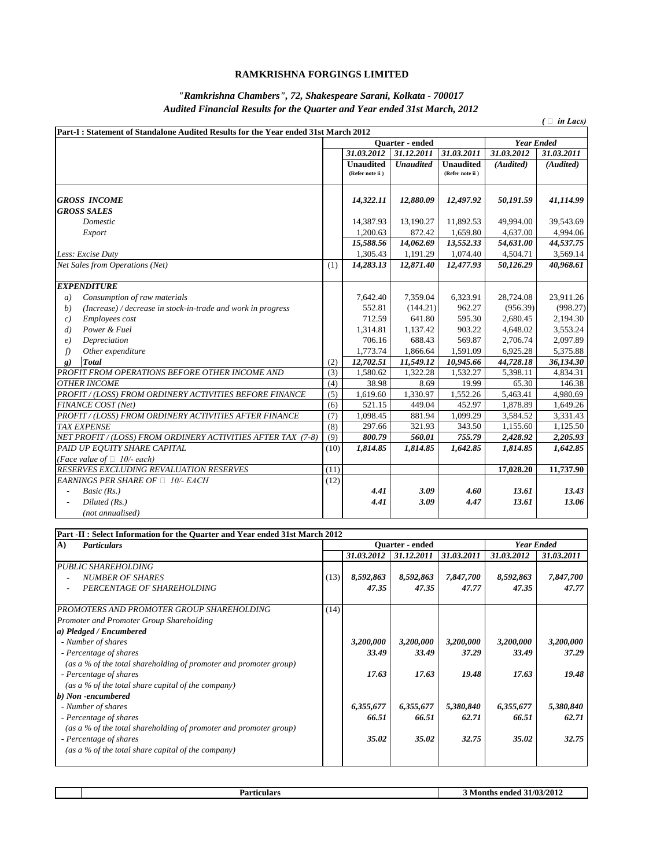| Part-I: Statement of Standalone Audited Results for the Year ended 31st March 2012 |      |                                     |                  |                                     |                   |            |
|------------------------------------------------------------------------------------|------|-------------------------------------|------------------|-------------------------------------|-------------------|------------|
|                                                                                    |      |                                     | Quarter - ended  |                                     | <b>Year Ended</b> |            |
|                                                                                    |      | 31.03.2012                          | 31.12.2011       | 31.03.2011                          | 31.03.2012        | 31.03.2011 |
|                                                                                    |      | <b>Unaudited</b><br>(Refer note ii) | <b>Unaudited</b> | <b>Unaudited</b><br>(Refer note ii) | (Audited)         | (Audited)  |
| <b>GROSS INCOME</b>                                                                |      | 14,322.11                           | 12,880.09        | 12,497.92                           | 50,191.59         | 41,114.99  |
| <b>GROSS SALES</b>                                                                 |      |                                     |                  |                                     |                   |            |
| Domestic                                                                           |      | 14,387.93                           | 13,190.27        | 11,892.53                           | 49,994.00         | 39,543.69  |
| Export                                                                             |      | 1,200.63                            | 872.42           | 1,659.80                            | 4,637.00          | 4,994.06   |
|                                                                                    |      | 15,588.56                           | 14,062.69        | 13,552.33                           | 54,631.00         | 44,537.75  |
| Less: Excise Duty                                                                  |      | 1,305.43                            | 1,191.29         | 1,074.40                            | 4,504.71          | 3,569.14   |
| <b>Net Sales from Operations (Net)</b>                                             | (1)  | 14,283.13                           | 12,871.40        | 12,477.93                           | 50,126.29         | 40,968.61  |
| <b>EXPENDITURE</b>                                                                 |      |                                     |                  |                                     |                   |            |
| Consumption of raw materials<br>a)                                                 |      | 7,642.40                            | 7,359.04         | 6,323.91                            | 28,724.08         | 23,911.26  |
| (Increase) / decrease in stock-in-trade and work in progress<br>(b)                |      | 552.81                              | (144.21)         | 962.27                              | (956.39)          | (998.27)   |
| <i>Employees cost</i><br>c)                                                        |      | 712.59                              | 641.80           | 595.30                              | 2,680.45          | 2,194.30   |
| Power & Fuel<br>$\left( d\right)$                                                  |      | 1,314.81                            | 1,137.42         | 903.22                              | 4,648.02          | 3,553.24   |
| Depreciation<br>$\epsilon$ )                                                       |      | 706.16                              | 688.43           | 569.87                              | 2,706.74          | 2,097.89   |
| Other expenditure<br>f)                                                            |      | 1,773.74                            | 1,866.64         | 1,591.09                            | 6,925.28          | 5,375.88   |
| Total<br>$\mathbf{g}$                                                              | (2)  | 12,702.51                           | 11,549.12        | 10,945.66                           | 44,728.18         | 36,134.30  |
| PROFIT FROM OPERATIONS BEFORE OTHER INCOME AND                                     | (3)  | 1,580.62                            | 1,322.28         | 1,532.27                            | 5,398.11          | 4,834.31   |
| <b>OTHER INCOME</b>                                                                | (4)  | 38.98                               | 8.69             | 19.99                               | 65.30             | 146.38     |
| PROFIT / (LOSS) FROM ORDINERY ACTIVITIES BEFORE FINANCE                            | (5)  | 1,619.60                            | 1,330.97         | 1,552.26                            | 5,463.41          | 4,980.69   |
| FINANCE COST (Net)                                                                 | (6)  | 521.15                              | 449.04           | 452.97                              | 1,878.89          | 1,649.26   |
| PROFIT / (LOSS) FROM ORDINERY ACTIVITIES AFTER FINANCE                             | (7)  | 1,098.45                            | 881.94           | 1,099.29                            | 3,584.52          | 3,331.43   |
| <b>TAX EXPENSE</b>                                                                 | (8)  | 297.66                              | 321.93           | 343.50                              | 1,155.60          | 1,125.50   |
| NET PROFIT / (LOSS) FROM ORDINERY ACTIVITIES AFTER TAX (7-8)                       | (9)  | 800.79                              | 560.01           | 755.79                              | 2,428.92          | 2,205.93   |
| PAID UP EQUITY SHARE CAPITAL                                                       | (10) | 1,814.85                            | 1,814.85         | 1,642.85                            | 1,814.85          | 1,642.85   |
| (Face value of $\Box$ 10/- each)                                                   |      |                                     |                  |                                     |                   |            |
| <b>RESERVES EXCLUDING REVALUATION RESERVES</b>                                     | (11) |                                     |                  |                                     | 17,028.20         | 11,737.90  |
| EARNINGS PER SHARE OF $\Box$ 10/- EACH                                             | (12) |                                     |                  |                                     |                   |            |
| <i>Basic</i> $(Rs.)$                                                               |      | 4.41                                | 3.09             | 4.60                                | 13.61             | 13.43      |
| Diluted $(Rs.)$                                                                    |      | 4.41                                | 3.09             | 4.47                                | 13.61             | 13.06      |
| (not annualised)                                                                   |      |                                     |                  |                                     |                   |            |

| A)<br><b>Particulars</b>                                          | Quarter - ended |            |            |            | <b>Year Ended</b> |            |
|-------------------------------------------------------------------|-----------------|------------|------------|------------|-------------------|------------|
|                                                                   |                 | 31.03.2012 | 31.12.2011 | 31.03.2011 | 31.03.2012        | 31.03.2011 |
| <b>PUBLIC SHAREHOLDING</b>                                        |                 |            |            |            |                   |            |
| <b>NUMBER OF SHARES</b>                                           | (13)            | 8,592,863  | 8,592,863  | 7,847,700  | 8,592,863         | 7,847,700  |
| PERCENTAGE OF SHAREHOLDING                                        |                 | 47.35      | 47.35      | 47.77      | 47.35             | 47.77      |
| PROMOTERS AND PROMOTER GROUP SHAREHOLDING                         | (14)            |            |            |            |                   |            |
| <b>Promoter and Promoter Group Shareholding</b>                   |                 |            |            |            |                   |            |
| $ a\rangle$ Pledged / Encumbered                                  |                 |            |            |            |                   |            |
| - Number of shares                                                |                 | 3,200,000  | 3,200,000  | 3,200,000  | 3,200,000         | 3,200,000  |
| - Percentage of shares                                            |                 | 33.49      | 33.49      | 37.29      | 33.49             | 37.29      |
| (as a % of the total shareholding of promoter and promoter group) |                 |            |            |            |                   |            |
| - Percentage of shares                                            |                 | 17.63      | 17.63      | 19.48      | 17.63             | 19.48      |
| (as a % of the total share capital of the company)                |                 |            |            |            |                   |            |
| $\vert b)$ Non-encumbered                                         |                 |            |            |            |                   |            |
| - Number of shares                                                |                 | 6,355,677  | 6,355,677  | 5,380,840  | 6,355,677         | 5,380,840  |
| - Percentage of shares                                            |                 | 66.51      | 66.51      | 62.71      | 66.51             | 62.71      |
| (as a % of the total shareholding of promoter and promoter group) |                 |            |            |            |                   |            |
| - Percentage of shares                                            |                 | 35.02      | 35.02      | 32.75      | 35.02             | 32.75      |
| (as a % of the total share capital of the company)                |                 |            |            |            |                   |            |

## **RAMKRISHNA FORGINGS LIMITED**

## *"Ramkrishna Chambers", 72, Shakespeare Sarani, Kolkata - 700017 Audited Financial Results for the Quarter and Year ended 31st March, 2012*

 $( \Box$  *in Lacs* $)$ 

| lla whaitla wa<br>тита. | '2012<br>17037<br>ended<br>N/I |
|-------------------------|--------------------------------|
|                         |                                |